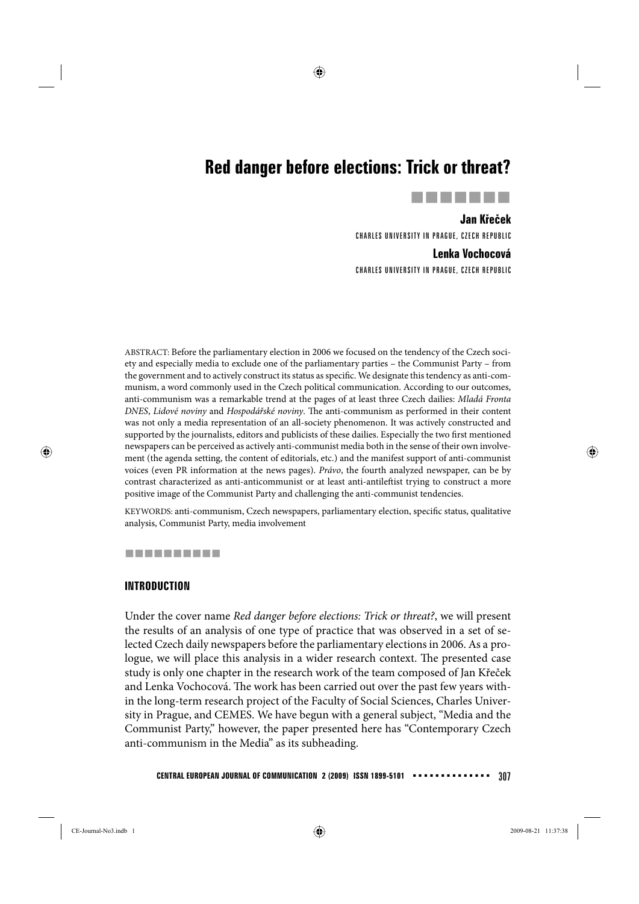# **Red danger before elections: Trick or threat?**



**Jan Křeček**  CHARLES UNIVERSITY IN PRAGUE, CZECH REPUBLIC

# **Lenka Vochocová**

CHARLES UNIVERSITY IN PRAGUE, CZECH REPUBLIC

ABSTRACT: Before the parliamentary election in 2006 we focused on the tendency of the Czech society and especially media to exclude one of the parliamentary parties – the Communist Party – from the government and to actively construct its status as specific. We designate this tendency as anti-communism, a word commonly used in the Czech political communication. According to our outcomes, anti-communism was a remarkable trend at the pages of at least three Czech dailies: *Mladá Fronta DNES*, *Lidové noviny* and *Hospodářské noviny*. The anti-communism as performed in their content was not only a media representation of an all-society phenomenon. It was actively constructed and supported by the journalists, editors and publicists of these dailies. Especially the two first mentioned newspapers can be perceived as actively anti-communist media both in the sense of their own involvement (the agenda setting, the content of editorials, etc.) and the manifest support of anti-communist voices (even PR information at the news pages). *Právo*, the fourth analyzed newspaper, can be by contrast characterized as anti-anticommunist or at least anti-antileftist trying to construct a more positive image of the Communist Party and challenging the anti-communist tendencies.

KEYWORDS: anti-communism, Czech newspapers, parliamentary election, specific status, qualitative analysis, Communist Party, media involvement

# ----------

#### **INTRODUCTION**

Under the cover name *Red danger before elections: Trick or threat?*, we will present the results of an analysis of one type of practice that was observed in a set of selected Czech daily newspapers before the parliamentary elections in 2006. As a prologue, we will place this analysis in a wider research context. The presented case study is only one chapter in the research work of the team composed of Jan Křeček and Lenka Vochocová. The work has been carried out over the past few years within the long-term research project of the Faculty of Social Sciences, Charles University in Prague, and CEMES. We have begun with a general subject, "Media and the Communist Party," however, the paper presented here has "Contemporary Czech anti-communism in the Media" as its subheading.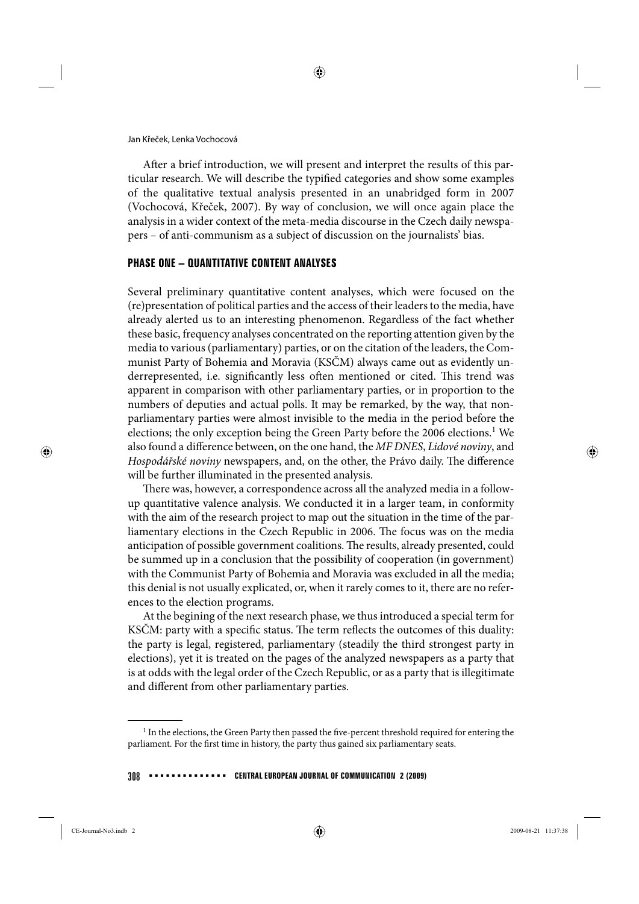Jan Křeček, Lenka Vochocová

After a brief introduction, we will present and interpret the results of this particular research. We will describe the typified categories and show some examples of the qualitative textual analysis presented in an unabridged form in 2007 (Vochocová, Křeček, 2007). By way of conclusion, we will once again place the analysis in a wider context of the meta-media discourse in the Czech daily newspapers – of anti-communism as a subject of discussion on the journalists' bias.

#### **PHASE ONE – QUANTITATIVE CONTENT ANALYSES**

Several preliminary quantitative content analyses, which were focused on the (re)presentation of political parties and the access of their leaders to the media, have already alerted us to an interesting phenomenon. Regardless of the fact whether these basic, frequency analyses concentrated on the reporting attention given by the media to various (parliamentary) parties, or on the citation of the leaders, the Communist Party of Bohemia and Moravia (KSČM) always came out as evidently underrepresented, i.e. significantly less often mentioned or cited. This trend was apparent in comparison with other parliamentary parties, or in proportion to the numbers of deputies and actual polls. It may be remarked, by the way, that nonparliamentary parties were almost invisible to the media in the period before the elections; the only exception being the Green Party before the 2006 elections.<sup>1</sup> We also found a difference between, on the one hand, the *MF DNES*, *Lidové noviny*, and *Hospodářské noviny* newspapers, and, on the other, the Právo daily. The difference will be further illuminated in the presented analysis.

There was, however, a correspondence across all the analyzed media in a followup quantitative valence analysis. We conducted it in a larger team, in conformity with the aim of the research project to map out the situation in the time of the parliamentary elections in the Czech Republic in 2006. The focus was on the media anticipation of possible government coalitions. The results, already presented, could be summed up in a conclusion that the possibility of cooperation (in government) with the Communist Party of Bohemia and Moravia was excluded in all the media; this denial is not usually explicated, or, when it rarely comes to it, there are no references to the election programs.

At the begining of the next research phase, we thus introduced a special term for KSČM: party with a specific status. The term reflects the outcomes of this duality: the party is legal, registered, parliamentary (steadily the third strongest party in elections), yet it is treated on the pages of the analyzed newspapers as a party that is at odds with the legal order of the Czech Republic, or as a party that is illegitimate and different from other parliamentary parties.

<sup>&</sup>lt;sup>1</sup> In the elections, the Green Party then passed the five-percent threshold required for entering the parliament. For the first time in history, the party thus gained six parliamentary seats.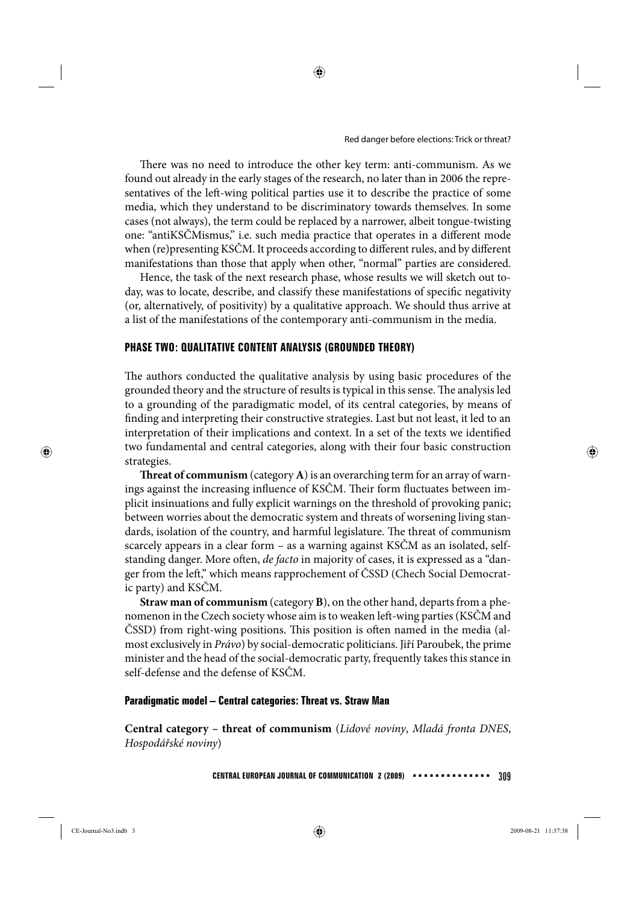There was no need to introduce the other key term: anti-communism. As we found out already in the early stages of the research, no later than in 2006 the representatives of the left-wing political parties use it to describe the practice of some media, which they understand to be discriminatory towards themselves. In some cases (not always), the term could be replaced by a narrower, albeit tongue-twisting one: "antiKSČMismus," i.e. such media practice that operates in a different mode when (re)presenting KSČM. It proceeds according to different rules, and by different manifestations than those that apply when other, "normal" parties are considered.

Hence, the task of the next research phase, whose results we will sketch out today, was to locate, describe, and classify these manifestations of specific negativity (or, alternatively, of positivity) by a qualitative approach. We should thus arrive at a list of the manifestations of the contemporary anti-communism in the media.

#### **PHASE TWO: QUALITATIVE CONTENT ANALYSIS (GROUNDED THEORY)**

The authors conducted the qualitative analysis by using basic procedures of the grounded theory and the structure of results is typical in this sense. The analysis led to a grounding of the paradigmatic model, of its central categories, by means of finding and interpreting their constructive strategies. Last but not least, it led to an interpretation of their implications and context. In a set of the texts we identified two fundamental and central categories, along with their four basic construction strategies.

**Threat of communism** (category **A**) is an overarching term for an array of warnings against the increasing influence of KSČM. Their form fluctuates between implicit insinuations and fully explicit warnings on the threshold of provoking panic; between worries about the democratic system and threats of worsening living standards, isolation of the country, and harmful legislature. The threat of communism scarcely appears in a clear form – as a warning against KSČM as an isolated, selfstanding danger. More often, *de facto* in majority of cases, it is expressed as a "danger from the left," which means rapprochement of ČSSD (Chech Social Democratic party) and KSČM.

**Straw man of communism** (category **B**), on the other hand, departs from a phenomenon in the Czech society whose aim is to weaken left-wing parties (KSČM and ČSSD) from right-wing positions. This position is often named in the media (almost exclusively in *Právo*) by social-democratic politicians. Jiří Paroubek, the prime minister and the head of the social-democratic party, frequently takes this stance in self-defense and the defense of KSČM.

#### **Paradigmatic model – Central categories: Threat vs. Straw Man**

**Central category – threat of communism** (*Lidové noviny*, *Mladá fronta DNES*, *Hospodářské noviny*)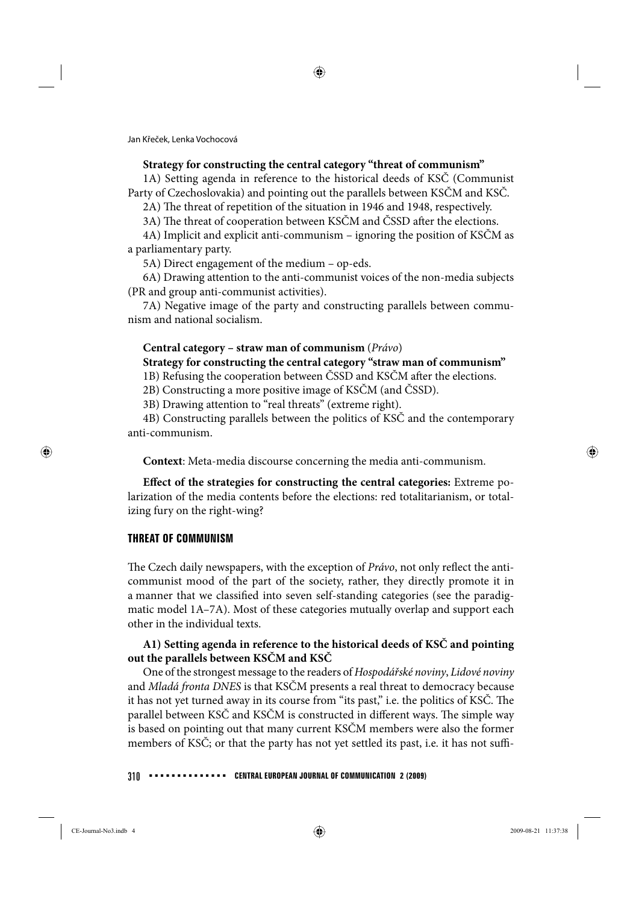#### **Strategy for constructing the central category "threat of communism"**

1A) Setting agenda in reference to the historical deeds of KSČ (Communist Party of Czechoslovakia) and pointing out the parallels between KSČM and KSČ.

2A) The threat of repetition of the situation in 1946 and 1948, respectively.

3A) The threat of cooperation between KSČM and ČSSD after the elections.

4A) Implicit and explicit anti-communism – ignoring the position of KSČM as a parliamentary party.

5A) Direct engagement of the medium – op-eds.

6A) Drawing attention to the anti-communist voices of the non-media subjects (PR and group anti-communist activities).

7A) Negative image of the party and constructing parallels between communism and national socialism.

### **Central category – straw man of communism** (*Právo*)

# **Strategy for constructing the central category "straw man of communism"**

1B) Refusing the cooperation between ČSSD and KSČM after the elections.

2B) Constructing a more positive image of KSČM (and ČSSD).

3B) Drawing attention to "real threats" (extreme right).

4B) Constructing parallels between the politics of KSČ and the contemporary anti-communism.

**Context**: Meta-media discourse concerning the media anti-communism.

**Effect of the strategies for constructing the central categories:** Extreme polarization of the media contents before the elections: red totalitarianism, or totalizing fury on the right-wing?

# **THREAT OF COMMUNISM**

The Czech daily newspapers, with the exception of Právo, not only reflect the anticommunist mood of the part of the society, rather, they directly promote it in a manner that we classified into seven self-standing categories (see the paradigmatic model 1A–7A). Most of these categories mutually overlap and support each other in the individual texts.

# **A1) Setting agenda in reference to the historical deeds of KSČ and pointing out the parallels between KSČM and KSČ**

One of the strongest message to the readers of *Hospodářské noviny*, *Lidové noviny* and *Mladá fronta DNES* is that KSČM presents a real threat to democracy because it has not yet turned away in its course from "its past," i.e. the politics of KSČ. The parallel between KSČ and KSČM is constructed in different ways. The simple way is based on pointing out that many current KSČM members were also the former members of KSČ; or that the party has not yet settled its past, i.e. it has not suffi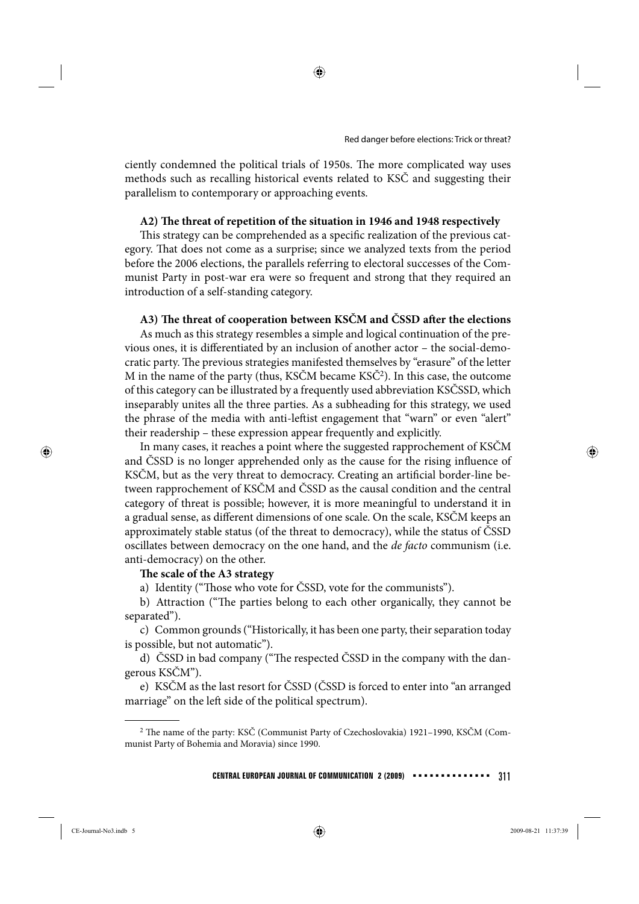ciently condemned the political trials of 1950s. The more complicated way uses methods such as recalling historical events related to KSČ and suggesting their parallelism to contemporary or approaching events.

#### A2) The threat of repetition of the situation in 1946 and 1948 respectively

This strategy can be comprehended as a specific realization of the previous category. That does not come as a surprise; since we analyzed texts from the period before the 2006 elections, the parallels referring to electoral successes of the Communist Party in post-war era were so frequent and strong that they required an introduction of a self-standing category.

#### A3) The threat of cooperation between KSČM and ČSSD after the elections

As much as this strategy resembles a simple and logical continuation of the previous ones, it is differentiated by an inclusion of another actor - the social-democratic party. The previous strategies manifested themselves by "erasure" of the letter M in the name of the party (thus, KSČM became KSČ2). In this case, the outcome of this category can be illustrated by a frequently used abbreviation KSČSSD, which inseparably unites all the three parties. As a subheading for this strategy, we used the phrase of the media with anti-leftist engagement that "warn" or even "alert" their readership – these expression appear frequently and explicitly.

In many cases, it reaches a point where the suggested rapprochement of KSČM and ČSSD is no longer apprehended only as the cause for the rising influence of KSČM, but as the very threat to democracy. Creating an artificial border-line between rapprochement of KSČM and ČSSD as the causal condition and the central category of threat is possible; however, it is more meaningful to understand it in a gradual sense, as different dimensions of one scale. On the scale, KSČM keeps an approximately stable status (of the threat to democracy), while the status of ČSSD oscillates between democracy on the one hand, and the *de facto* communism (i.e. anti-democracy) on the other.

#### The scale of the A3 strategy

a) Identity ("Those who vote for ČSSD, vote for the communists").

b) Attraction ("The parties belong to each other organically, they cannot be separated").

c) Common grounds ("Historically, it has been one party, their separation today is possible, but not automatic").

d) ČSSD in bad company ("The respected ČSSD in the company with the dangerous KSČM").

e) KSČM as the last resort for ČSSD (ČSSD is forced to enter into "an arranged marriage" on the left side of the political spectrum).

 $2$  The name of the party: KSČ (Communist Party of Czechoslovakia) 1921–1990, KSČM (Communist Party of Bohemia and Moravia) since 1990.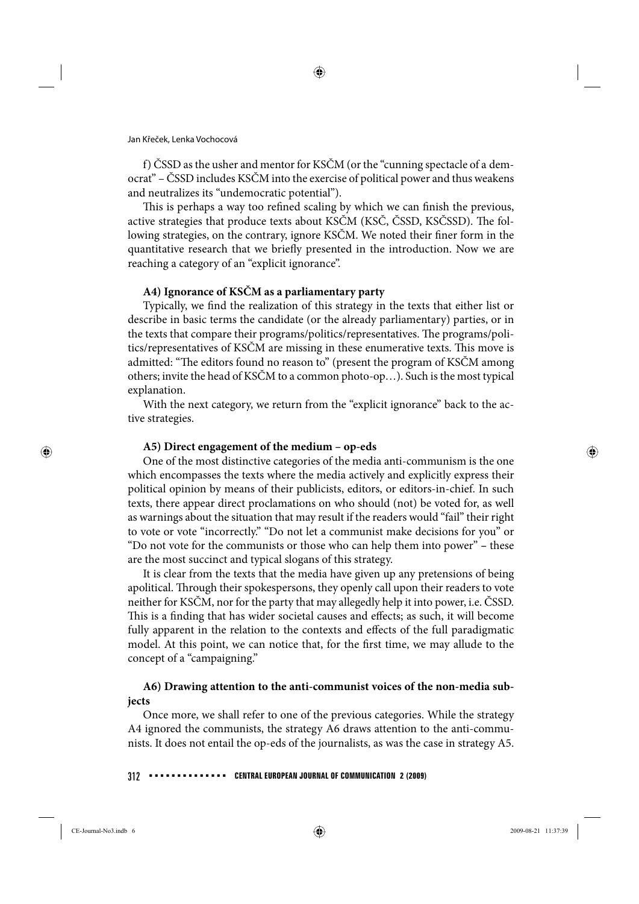f) ČSSD as the usher and mentor for KSČM (or the "cunning spectacle of a democrat" – ČSSD includes KSČM into the exercise of political power and thus weakens and neutralizes its "undemocratic potential").

This is perhaps a way too refined scaling by which we can finish the previous, active strategies that produce texts about KSČM (KSČ, ČSSD, KSČSSD). The following strategies, on the contrary, ignore KSČM. We noted their finer form in the quantitative research that we briefly presented in the introduction. Now we are reaching a category of an "explicit ignorance".

#### **A4) Ignorance of KSČM as a parliamentary party**

Typically, we find the realization of this strategy in the texts that either list or describe in basic terms the candidate (or the already parliamentary) parties, or in the texts that compare their programs/politics/representatives. The programs/politics/representatives of KSČM are missing in these enumerative texts. This move is admitted: "The editors found no reason to" (present the program of KSČM among others; invite the head of KSČM to a common photo-op…). Such is the most typical explanation.

With the next category, we return from the "explicit ignorance" back to the active strategies.

#### **A5) Direct engagement of the medium – op-eds**

One of the most distinctive categories of the media anti-communism is the one which encompasses the texts where the media actively and explicitly express their political opinion by means of their publicists, editors, or editors-in-chief. In such texts, there appear direct proclamations on who should (not) be voted for, as well as warnings about the situation that may result if the readers would "fail" their right to vote or vote "incorrectly." "Do not let a communist make decisions for you" or "Do not vote for the communists or those who can help them into power" **–** these are the most succinct and typical slogans of this strategy.

It is clear from the texts that the media have given up any pretensions of being apolitical. Through their spokespersons, they openly call upon their readers to vote neither for KSČM, nor for the party that may allegedly help it into power, i.e. ČSSD. This is a finding that has wider societal causes and effects; as such, it will become fully apparent in the relation to the contexts and effects of the full paradigmatic model. At this point, we can notice that, for the first time, we may allude to the concept of a "campaigning."

# **A6) Drawing attention to the anti-communist voices of the non-media subjects**

Once more, we shall refer to one of the previous categories. While the strategy A4 ignored the communists, the strategy A6 draws attention to the anti-communists. It does not entail the op-eds of the journalists, as was the case in strategy A5.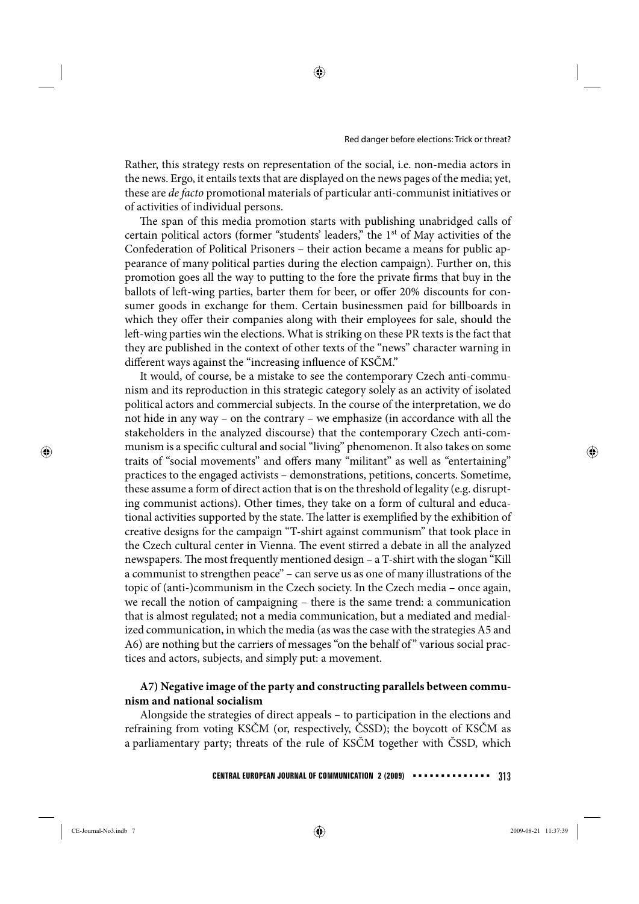Rather, this strategy rests on representation of the social, i.e. non-media actors in the news. Ergo, it entails texts that are displayed on the news pages of the media; yet, these are *de facto* promotional materials of particular anti-communist initiatives or of activities of individual persons.

The span of this media promotion starts with publishing unabridged calls of certain political actors (former "students' leaders," the 1st of May activities of the Confederation of Political Prisoners – their action became a means for public appearance of many political parties during the election campaign). Further on, this promotion goes all the way to putting to the fore the private firms that buy in the ballots of left-wing parties, barter them for beer, or offer 20% discounts for consumer goods in exchange for them. Certain businessmen paid for billboards in which they offer their companies along with their employees for sale, should the left -wing parties win the elections. What is striking on these PR texts is the fact that they are published in the context of other texts of the "news" character warning in different ways against the "increasing influence of KSČM."

It would, of course, be a mistake to see the contemporary Czech anti-communism and its reproduction in this strategic category solely as an activity of isolated political actors and commercial subjects. In the course of the interpretation, we do not hide in any way – on the contrary – we emphasize (in accordance with all the stakeholders in the analyzed discourse) that the contemporary Czech anti-communism is a specific cultural and social "living" phenomenon. It also takes on some traits of "social movements" and offers many "militant" as well as "entertaining" practices to the engaged activists – demonstrations, petitions, concerts. Sometime, these assume a form of direct action that is on the threshold of legality (e.g. disrupting communist actions). Other times, they take on a form of cultural and educational activities supported by the state. The latter is exemplified by the exhibition of creative designs for the campaign "T-shirt against communism" that took place in the Czech cultural center in Vienna. The event stirred a debate in all the analyzed newspapers. The most frequently mentioned design – a T-shirt with the slogan "Kill a communist to strengthen peace" – can serve us as one of many illustrations of the topic of (anti-)communism in the Czech society. In the Czech media – once again, we recall the notion of campaigning – there is the same trend: a communication that is almost regulated; not a media communication, but a mediated and medialized communication, in which the media (as was the case with the strategies A5 and A6) are nothing but the carriers of messages "on the behalf of" various social practices and actors, subjects, and simply put: a movement.

# **A7) Negative image of the party and constructing parallels between communism and national socialism**

Alongside the strategies of direct appeals – to participation in the elections and refraining from voting KSČM (or, respectively, ČSSD); the boycott of KSČM as a parliamentary party; threats of the rule of KSČM together with ČSSD, which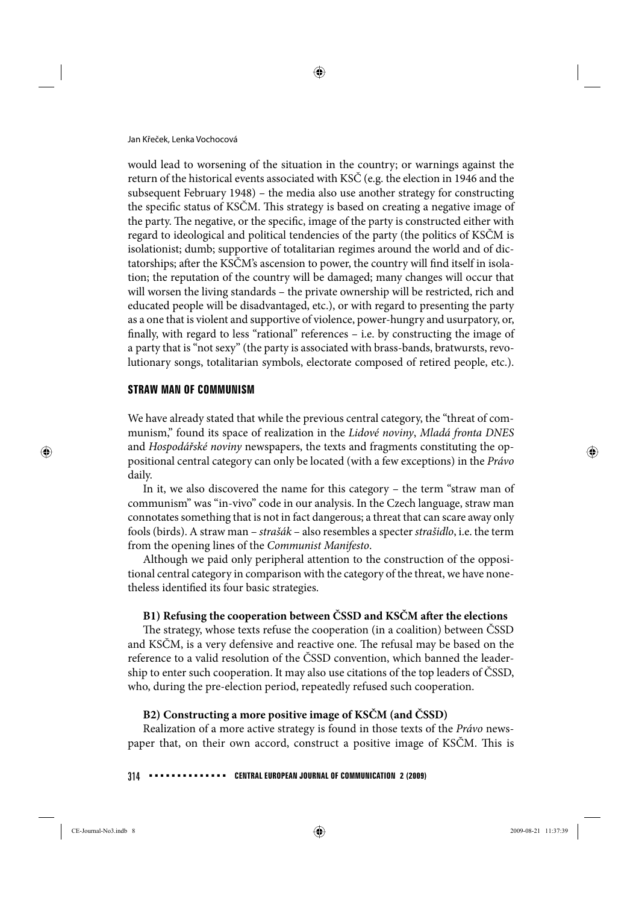Jan Křeček, Lenka Vochocová

would lead to worsening of the situation in the country; or warnings against the return of the historical events associated with KSČ (e.g. the election in 1946 and the subsequent February 1948) – the media also use another strategy for constructing the specific status of KSČM. This strategy is based on creating a negative image of the party. The negative, or the specific, image of the party is constructed either with regard to ideological and political tendencies of the party (the politics of KSČM is isolationist; dumb; supportive of totalitarian regimes around the world and of dictatorships; after the KSČM's ascension to power, the country will find itself in isolation; the reputation of the country will be damaged; many changes will occur that will worsen the living standards – the private ownership will be restricted, rich and educated people will be disadvantaged, etc.), or with regard to presenting the party as a one that is violent and supportive of violence, power-hungry and usurpatory, or, finally, with regard to less "rational" references - i.e. by constructing the image of a party that is "not sexy" (the party is associated with brass-bands, bratwursts, revolutionary songs, totalitarian symbols, electorate composed of retired people, etc.).

### **STRAW MAN OF COMMUNISM**

We have already stated that while the previous central category, the "threat of communism," found its space of realization in the *Lidové noviny*, *Mladá fronta DNES* and *Hospodářské noviny* newspapers, the texts and fragments constituting the oppositional central category can only be located (with a few exceptions) in the *Právo* daily.

In it, we also discovered the name for this category – the term "straw man of communism" was "in-vivo" code in our analysis. In the Czech language, straw man connotates something that is not in fact dangerous; a threat that can scare away only fools (birds). A straw man – *strašák* – also resembles a specter *strašidlo*, i.e. the term from the opening lines of the *Communist Manifesto*.

Although we paid only peripheral attention to the construction of the oppositional central category in comparison with the category of the threat, we have nonetheless identified its four basic strategies.

# **B1) Refusing the cooperation between ČSSD and KSČM after the elections**

The strategy, whose texts refuse the cooperation (in a coalition) between ČSSD and KSČM, is a very defensive and reactive one. The refusal may be based on the reference to a valid resolution of the ČSSD convention, which banned the leadership to enter such cooperation. It may also use citations of the top leaders of ČSSD, who, during the pre-election period, repeatedly refused such cooperation.

# **B2) Constructing a more positive image of KSČM (and ČSSD)**

Realization of a more active strategy is found in those texts of the *Právo* newspaper that, on their own accord, construct a positive image of KSČM. This is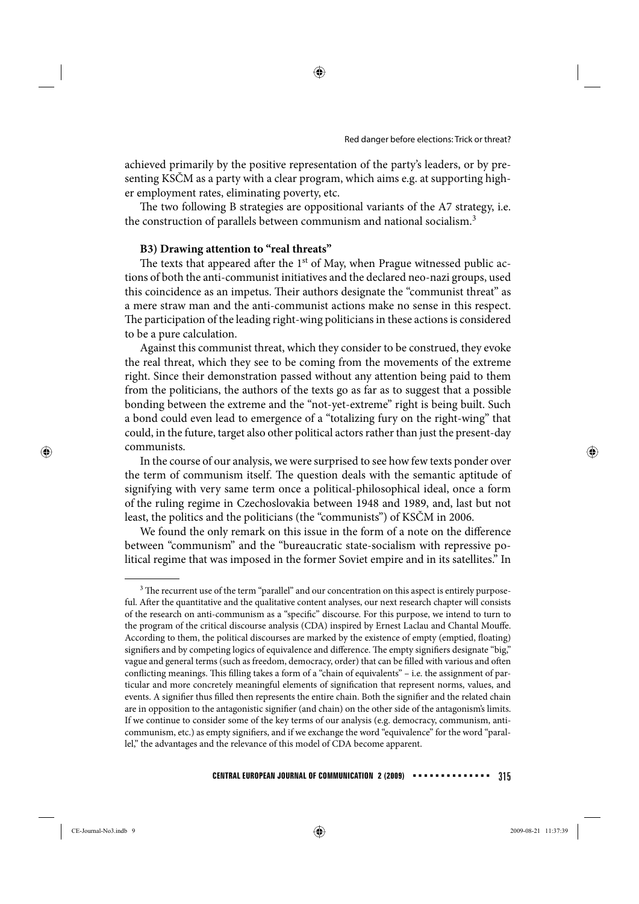achieved primarily by the positive representation of the party's leaders, or by presenting KSČM as a party with a clear program, which aims e.g. at supporting higher employment rates, eliminating poverty, etc.

The two following B strategies are oppositional variants of the A7 strategy, i.e. the construction of parallels between communism and national socialism.<sup>3</sup>

# **B3) Drawing attention to "real threats"**

The texts that appeared after the  $1<sup>st</sup>$  of May, when Prague witnessed public actions of both the anti-communist initiatives and the declared neo-nazi groups, used this coincidence as an impetus. Their authors designate the "communist threat" as a mere straw man and the anti-communist actions make no sense in this respect. The participation of the leading right-wing politicians in these actions is considered to be a pure calculation.

Against this communist threat, which they consider to be construed, they evoke the real threat, which they see to be coming from the movements of the extreme right. Since their demonstration passed without any attention being paid to them from the politicians, the authors of the texts go as far as to suggest that a possible bonding between the extreme and the "not-yet-extreme" right is being built. Such a bond could even lead to emergence of a "totalizing fury on the right-wing" that could, in the future, target also other political actors rather than just the present-day communists.

In the course of our analysis, we were surprised to see how few texts ponder over the term of communism itself. The question deals with the semantic aptitude of signifying with very same term once a political-philosophical ideal, once a form of the ruling regime in Czechoslovakia between 1948 and 1989, and, last but not least, the politics and the politicians (the "communists") of KSČM in 2006.

We found the only remark on this issue in the form of a note on the difference between "communism" and the "bureaucratic state-socialism with repressive political regime that was imposed in the former Soviet empire and in its satellites." In

<sup>&</sup>lt;sup>3</sup> The recurrent use of the term "parallel" and our concentration on this aspect is entirely purposeful. After the quantitative and the qualitative content analyses, our next research chapter will consists of the research on anti-communism as a "specific" discourse. For this purpose, we intend to turn to the program of the critical discourse analysis (CDA) inspired by Ernest Laclau and Chantal Mouffe. According to them, the political discourses are marked by the existence of empty (emptied, floating) signifiers and by competing logics of equivalence and difference. The empty signifiers designate "big," vague and general terms (such as freedom, democracy, order) that can be filled with various and often conflicting meanings. This filling takes a form of a "chain of equivalents" – i.e. the assignment of particular and more concretely meaningful elements of signification that represent norms, values, and events. A signifier thus filled then represents the entire chain. Both the signifier and the related chain are in opposition to the antagonistic signifier (and chain) on the other side of the antagonism's limits. If we continue to consider some of the key terms of our analysis (e.g. democracy, communism, anticommunism, etc.) as empty signifiers, and if we exchange the word "equivalence" for the word "parallel," the advantages and the relevance of this model of CDA become apparent.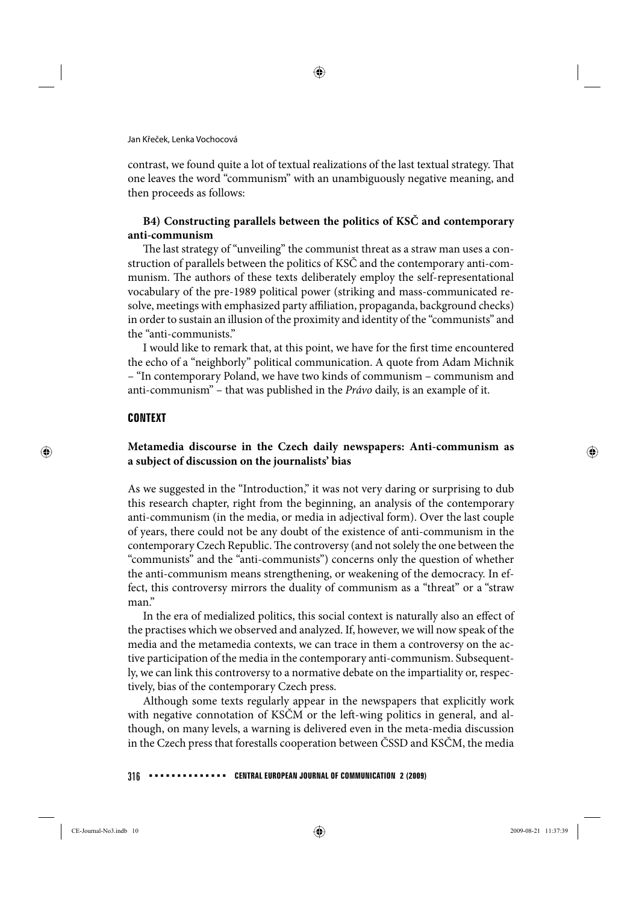contrast, we found quite a lot of textual realizations of the last textual strategy. That one leaves the word "communism" with an unambiguously negative meaning, and then proceeds as follows:

# **B4) Constructing parallels between the politics of KSČ and contemporary anti-communism**

The last strategy of "unveiling" the communist threat as a straw man uses a construction of parallels between the politics of KSČ and the contemporary anti-communism. The authors of these texts deliberately employ the self-representational vocabulary of the pre-1989 political power (striking and mass-communicated resolve, meetings with emphasized party affiliation, propaganda, background checks) in order to sustain an illusion of the proximity and identity of the "communists" and the "anti-communists."

I would like to remark that, at this point, we have for the first time encountered the echo of a "neighborly" political communication. A quote from Adam Michnik – "In contemporary Poland, we have two kinds of communism – communism and anti-communism" – that was published in the *Právo* daily, is an example of it.

### **CONTEXT**

# **Metamedia discourse in the Czech daily newspapers: Anti-communism as a subject of discussion on the journalists' bias**

As we suggested in the "Introduction," it was not very daring or surprising to dub this research chapter, right from the beginning, an analysis of the contemporary anti-communism (in the media, or media in adjectival form). Over the last couple of years, there could not be any doubt of the existence of anti-communism in the contemporary Czech Republic. The controversy (and not solely the one between the "communists" and the "anti-communists") concerns only the question of whether the anti-communism means strengthening, or weakening of the democracy. In effect, this controversy mirrors the duality of communism as a "threat" or a "straw man."

In the era of medialized politics, this social context is naturally also an effect of the practises which we observed and analyzed. If, however, we will now speak of the media and the metamedia contexts, we can trace in them a controversy on the active participation of the media in the contemporary anti-communism. Subsequently, we can link this controversy to a normative debate on the impartiality or, respectively, bias of the contemporary Czech press.

Although some texts regularly appear in the newspapers that explicitly work with negative connotation of KSČM or the left-wing politics in general, and although, on many levels, a warning is delivered even in the meta-media discussion in the Czech press that forestalls cooperation between ČSSD and KSČM, the media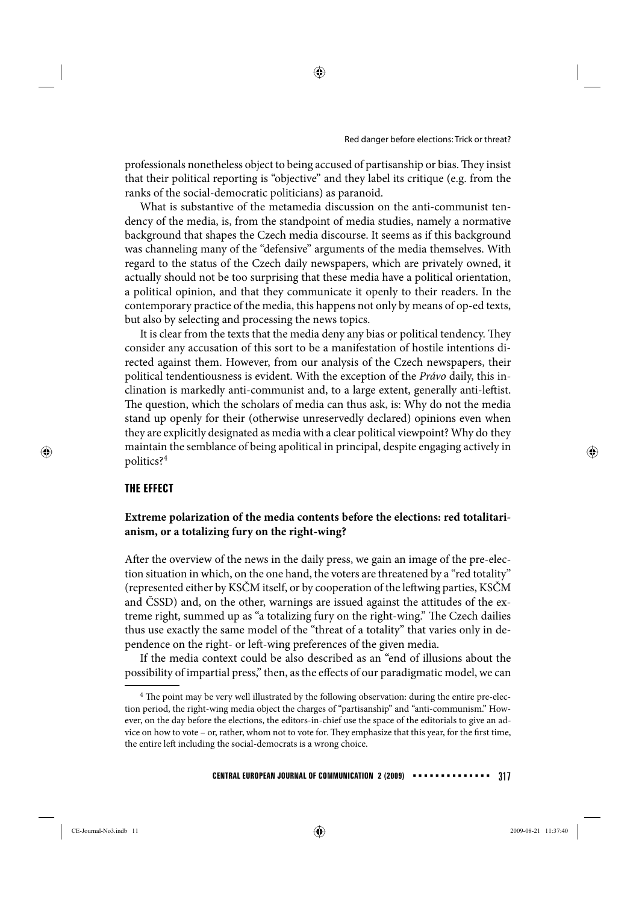professionals nonetheless object to being accused of partisanship or bias. They insist that their political reporting is "objective" and they label its critique (e.g. from the ranks of the social-democratic politicians) as paranoid.

What is substantive of the metamedia discussion on the anti-communist tendency of the media, is, from the standpoint of media studies, namely a normative background that shapes the Czech media discourse. It seems as if this background was channeling many of the "defensive" arguments of the media themselves. With regard to the status of the Czech daily newspapers, which are privately owned, it actually should not be too surprising that these media have a political orientation, a political opinion, and that they communicate it openly to their readers. In the contemporary practice of the media, this happens not only by means of op-ed texts, but also by selecting and processing the news topics.

It is clear from the texts that the media deny any bias or political tendency. They consider any accusation of this sort to be a manifestation of hostile intentions directed against them. However, from our analysis of the Czech newspapers, their political tendentiousness is evident. With the exception of the *Právo* daily, this inclination is markedly anti-communist and, to a large extent, generally anti-leftist. The question, which the scholars of media can thus ask, is: Why do not the media stand up openly for their (otherwise unreservedly declared) opinions even when they are explicitly designated as media with a clear political viewpoint? Why do they maintain the semblance of being apolitical in principal, despite engaging actively in politics?<sup>4</sup>

### **THE EFFECT**

#### **Extreme polarization of the media contents before the elections: red totalitarianism, or a totalizing fury on the right-wing?**

After the overview of the news in the daily press, we gain an image of the pre-election situation in which, on the one hand, the voters are threatened by a "red totality" (represented either by KSČM itself, or by cooperation of the leftwing parties, KSČM and ČSSD) and, on the other, warnings are issued against the attitudes of the extreme right, summed up as "a totalizing fury on the right-wing." The Czech dailies thus use exactly the same model of the "threat of a totality" that varies only in dependence on the right- or left -wing preferences of the given media.

If the media context could be also described as an "end of illusions about the possibility of impartial press," then, as the effects of our paradigmatic model, we can

<sup>&</sup>lt;sup>4</sup> The point may be very well illustrated by the following observation: during the entire pre-election period, the right-wing media object the charges of "partisanship" and "anti-communism." However, on the day before the elections, the editors-in-chief use the space of the editorials to give an advice on how to vote – or, rather, whom not to vote for. They emphasize that this year, for the first time, the entire left including the social-democrats is a wrong choice.